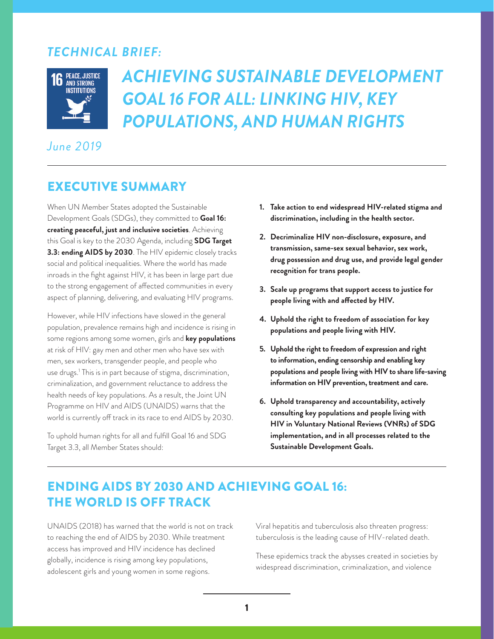# *TECHNICAL BRIEF:*



# *ACHIEVING SUSTAINABLE DEVELOPMENT GOAL 16 FOR ALL: LINKING HIV, KEY POPULATIONS, AND HUMAN RIGHTS*

# *June 2019*

# EXECUTIVE SUMMARY

When UN Member States adopted the Sustainable Development Goals (SDGs), they committed to **Goal 16: creating peaceful, just and inclusive societies**. Achieving this Goal is key to the 2030 Agenda, including **SDG Target 3.3: ending AIDS by 2030**. The HIV epidemic closely tracks social and political inequalities. Where the world has made inroads in the fight against HIV, it has been in large part due to the strong engagement of affected communities in every aspect of planning, delivering, and evaluating HIV programs.

However, while HIV infections have slowed in the general population, prevalence remains high and incidence is rising in some regions among some women, girls and **key populations** at risk of HIV: gay men and other men who have sex with men, sex workers, transgender people, and people who use drugs.1 This is in part because of stigma, discrimination, criminalization, and government reluctance to address the health needs of key populations. As a result, the Joint UN Programme on HIV and AIDS (UNAIDS) warns that the world is currently off track in its race to end AIDS by 2030.

To uphold human rights for all and fulfill Goal 16 and SDG Target 3.3, all Member States should:

- **1. Take action to end widespread HIV-related stigma and discrimination, including in the health sector.**
- **2. Decriminalize HIV non-disclosure, exposure, and transmission, same-sex sexual behavior, sex work, drug possession and drug use, and provide legal gender recognition for trans people.**
- **3. Scale up programs that support access to justice for people living with and affected by HIV.**
- **4. Uphold the right to freedom of association for key populations and people living with HIV.**
- **5. Uphold the right to freedom of expression and right to information, ending censorship and enabling key populations and people living with HIV to share life-saving information on HIV prevention, treatment and care.**
- **6. Uphold transparency and accountability, actively consulting key populations and people living with HIV in Voluntary National Reviews (VNRs) of SDG implementation, and in all processes related to the Sustainable Development Goals.**

# ENDING AIDS BY 2030 AND ACHIEVING GOAL 16: THE WORLD IS OFF TRACK

UNAIDS (2018) has warned that the world is not on track to reaching the end of AIDS by 2030. While treatment access has improved and HIV incidence has declined globally, incidence is rising among key populations, adolescent girls and young women in some regions.

Viral hepatitis and tuberculosis also threaten progress: tuberculosis is the leading cause of HIV-related death.

These epidemics track the abysses created in societies by widespread discrimination, criminalization, and violence

 $1$  1 is a set of the set of the set of the set of the set of the set of the set of the set of the set of the set of the set of the set of the set of the set of the set of the set of the set of the set of the set of the s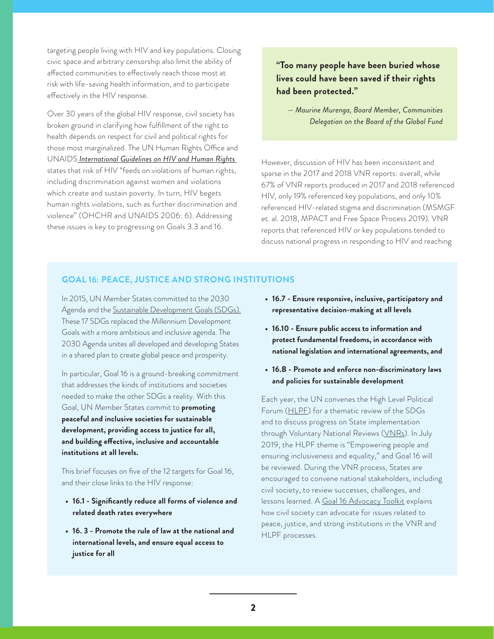targeting people living with HIV and key populations. Closing civic space and arbitrary censorship also limit the ability of affected communities to effectively reach those most at risk with life-saving health information, and to participate effectively in the HIV response.

Over 30 years of the global HIV response, civil society has broken ground in clarifying how fulfillment of the right to health depends on respect for civil and political rights for those most marginalized. The UN Human Rights Office and UNAIDS *[International Guidelines on HIV and Human Rights](https://www.ohchr.org/Documents/Publications/HIVAIDSGuidelinesen.pdf)*  states that risk of HIV "feeds on violations of human rights, including discrimination against women and violations which create and sustain poverty. In turn, HIV begets human rights violations, such as further discrimination and violence" (OHCHR and UNAIDS 2006: 6). Addressing these issues is key to progressing on Goals 3.3 and 16.

### **"Too many people have been buried whose lives could have been saved if their rights had been protected."**

*— Maurine Murenga, Board Member, Communities Delegation on the Board of the Global Fund*

However, discussion of HIV has been inconsistent and sparse in the 2017 and 2018 VNR reports: overall, while 67% of VNR reports produced in 2017 and 2018 referenced HIV, only 19% referenced key populations, and only 10% referenced HIV-related stigma and discrimination (MSMGF et. al. 2018, MPACT and Free Space Process 2019). VNR reports that referenced HIV or key populations tended to discuss national progress in responding to HIV and reaching

#### **GOAL 16: PEACE, JUSTICE AND STRONG INSTITUTIONS**

In 2015, UN Member States committed to the 2030 Agenda and the [Sustainable Development Goals \(SDGs\).](https://sustainabledevelopment.un.org/sdgs) These 17 SDGs replaced the Millennium Development Goals with a more ambitious and inclusive agenda. The 2030 Agenda unites all developed and developing States in a shared plan to create global peace and prosperity.

In particular, Goal 16 is a ground-breaking commitment that addresses the kinds of institutions and societies needed to make the other SDGs a reality. With this Goal, UN Member States commit to **promoting peaceful and inclusive societies for sustainable development, providing access to justice for all, and building effective, inclusive and accountable institutions at all levels.** 

This brief focuses on five of the 12 targets for Goal 16, and their close links to the HIV response:

- **• 16.1 Significantly reduce all forms of violence and related death rates everywhere**
- **• 16. 3 Promote the rule of law at the national and international levels, and ensure equal access to justice for all**
- **• 16.7 Ensure responsive, inclusive, participatory and representative decision-making at all levels**
- **• 16.10 Ensure public access to information and protect fundamental freedoms, in accordance with national legislation and international agreements, and**
- **• 16.B Promote and enforce non-discriminatory laws and policies for sustainable development**

Each year, the UN convenes the High Level Political Forum ([HLPF\)](https://sustainabledevelopment.un.org/hlpf) for a thematic review of the SDGs and to discuss progress on State implementation through Voluntary National Reviews [\(VNRs](https://sustainabledevelopment.un.org/vnrs/)). In July 2019, the HLPF theme is "Empowering people and ensuring inclusiveness and equality," and Goal 16 will be reviewed. During the VNR process, States are encouraged to convene national stakeholders, including civil society, to review successes, challenges, and lessons learned. A [Goal 16 Advocacy Toolkit](https://tapnetwork2030.org/goal-16-advocacy-toolkit/) explains how civil society can advocate for issues related to peace, justice, and strong institutions in the VNR and HLPF processes.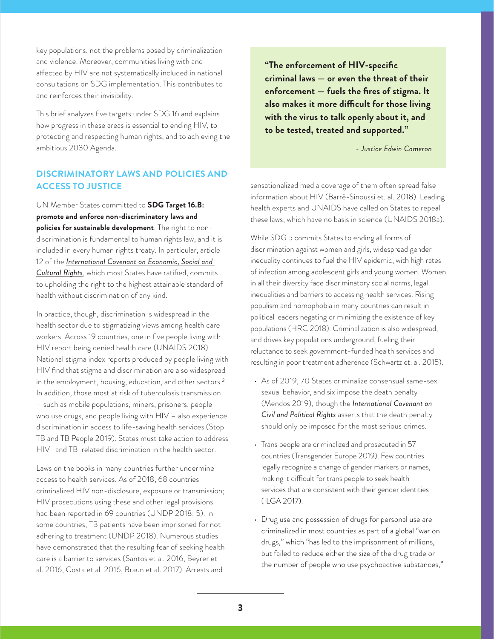key populations, not the problems posed by criminalization and violence. Moreover, communities living with and affected by HIV are not systematically included in national consultations on SDG implementation. This contributes to and reinforces their invisibility.

This brief analyzes five targets under SDG 16 and explains how progress in these areas is essential to ending HIV, to protecting and respecting human rights, and to achieving the ambitious 2030 Agenda.

#### **DISCRIMINATORY LAWS AND POLICIES AND ACCESS TO JUSTICE**

UN Member States committed to **SDG Target 16.B: promote and enforce non-discriminatory laws and policies for sustainable development**. The right to nondiscrimination is fundamental to human rights law, and it is included in every human rights treaty. In particular, article 12 of the *[International Covenant on Economic, Social and](https://www.ohchr.org/en/professionalinterest/pages/cescr.aspx)  [Cultural Rights](https://www.ohchr.org/en/professionalinterest/pages/cescr.aspx)*, which most States have ratified, commits to upholding the right to the highest attainable standard of health without discrimination of any kind.

In practice, though, discrimination is widespread in the health sector due to stigmatizing views among health care workers. Across 19 countries, one in five people living with HIV report being denied health care (UNAIDS 2018). National stigma index reports produced by people living with HIV find that stigma and discrimination are also widespread in the employment, housing, education, and other sectors.<sup>2</sup> In addition, those most at risk of tuberculosis transmission – such as mobile populations, miners, prisoners, people who use drugs, and people living with HIV – also experience discrimination in access to life-saving health services (Stop TB and TB People 2019). States must take action to address HIV- and TB-related discrimination in the health sector.

Laws on the books in many countries further undermine access to health services. As of 2018, 68 countries criminalized HIV non-disclosure, exposure or transmission; HIV prosecutions using these and other legal provisions had been reported in 69 countries (UNDP 2018: 5). In some countries, TB patients have been imprisoned for not adhering to treatment (UNDP 2018). Numerous studies have demonstrated that the resulting fear of seeking health care is a barrier to services (Santos et al. 2016, Beyrer et al. 2016, Costa et al. 2016, Braun et al. 2017). Arrests and

**"The enforcement of HIV-specific criminal laws — or even the threat of their enforcement — fuels the fires of stigma. It also makes it more difficult for those living with the virus to talk openly about it, and to be tested, treated and supported."**

*- Justice Edwin Cameron*

sensationalized media coverage of them often spread false information about HIV (Barré-Sinoussi et. al. 2018). Leading health experts and UNAIDS have called on States to repeal these laws, which have no basis in science (UNAIDS 2018a).

While SDG 5 commits States to ending all forms of discrimination against women and girls, widespread gender inequality continues to fuel the HIV epidemic, with high rates of infection among adolescent girls and young women. Women in all their diversity face discriminatory social norms, legal inequalities and barriers to accessing health services. Rising populism and homophobia in many countries can result in political leaders negating or minimizing the existence of key populations (HRC 2018). Criminalization is also widespread, and drives key populations underground, fueling their reluctance to seek government-funded health services and resulting in poor treatment adherence (Schwartz et. al. 2015).

- As of 2019, 70 States criminalize consensual same-sex sexual behavior, and six impose the death penalty (Mendos 2019), though the *International Covenant on Civil and Political Rights* asserts that the death penalty should only be imposed for the most serious crimes.
- Trans people are criminalized and prosecuted in 57 countries (Transgender Europe 2019). Few countries legally recognize a change of gender markers or names, making it difficult for trans people to seek health services that are consistent with their gender identities (ILGA 2017).
- Drug use and possession of drugs for personal use are criminalized in most countries as part of a global "war on drugs," which "has led to the imprisonment of millions, but failed to reduce either the size of the drug trade or the number of people who use psychoactive substances,"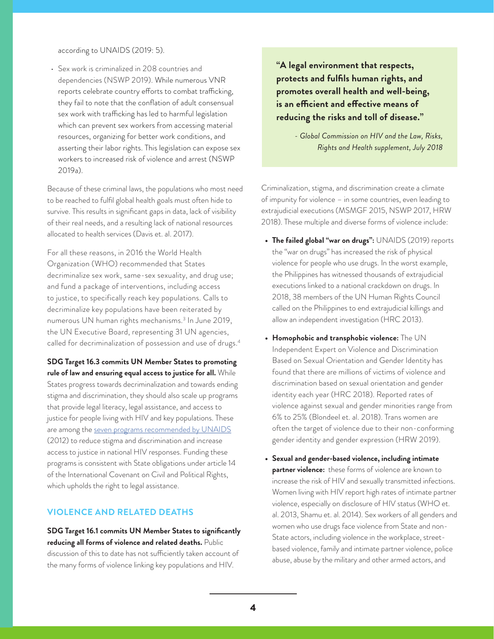according to UNAIDS (2019: 5).

• Sex work is criminalized in 208 countries and dependencies (NSWP 2019). While numerous VNR reports celebrate country efforts to combat trafficking, they fail to note that the conflation of adult consensual sex work with trafficking has led to harmful legislation which can prevent sex workers from accessing material resources, organizing for better work conditions, and asserting their labor rights. This legislation can expose sex workers to increased risk of violence and arrest (NSWP 2019a).

Because of these criminal laws, the populations who most need to be reached to fulfil global health goals must often hide to survive. This results in significant gaps in data, lack of visibility of their real needs, and a resulting lack of national resources allocated to health services (Davis et. al. 2017).

For all these reasons, in 2016 the World Health Organization (WHO) recommended that States decriminalize sex work, same-sex sexuality, and drug use; and fund a package of interventions, including access to justice, to specifically reach key populations. Calls to decriminalize key populations have been reiterated by numerous UN human rights mechanisms.<sup>3</sup> In June 2019, the UN Executive Board, representing 31 UN agencies, called for decriminalization of possession and use of drugs.<sup>4</sup>

**SDG Target 16.3 commits UN Member States to promoting rule of law and ensuring equal access to justice for all.** While States progress towards decriminalization and towards ending stigma and discrimination, they should also scale up programs that provide legal literacy, legal assistance, and access to justice for people living with HIV and key populations. These are among the [seven programs recommended by UNAIDS](https://www.unaids.org/sites/default/files/media_asset/Key_Human_Rights_Programmes_en_May2012_0.pdf) (2012) to reduce stigma and discrimination and increase access to justice in national HIV responses. Funding these programs is consistent with State obligations under article 14 of the International Covenant on Civil and Political Rights, which upholds the right to legal assistance.

#### **VIOLENCE AND RELATED DEATHS**

**SDG Target 16.1 commits UN Member States to significantly reducing all forms of violence and related deaths.** Public discussion of this to date has not sufficiently taken account of the many forms of violence linking key populations and HIV.

**"A legal environment that respects, protects and fulfils human rights, and promotes overall health and well-being, is an efficient and effective means of reducing the risks and toll of disease."**

> *- Global Commission on HIV and the Law, Risks, Rights and Health supplement, July 2018*

Criminalization, stigma, and discrimination create a climate of impunity for violence – in some countries, even leading to extrajudicial executions (MSMGF 2015, NSWP 2017, HRW 2018). These multiple and diverse forms of violence include:

- **• The failed global "war on drugs":** UNAIDS (2019) reports the "war on drugs" has increased the risk of physical violence for people who use drugs. In the worst example, the Philippines has witnessed thousands of extrajudicial executions linked to a national crackdown on drugs. In 2018, 38 members of the UN Human Rights Council called on the Philippines to end extrajudicial killings and allow an independent investigation (HRC 2013).
- **• Homophobic and transphobic violence:** The UN Independent Expert on Violence and Discrimination Based on Sexual Orientation and Gender Identity has found that there are millions of victims of violence and discrimination based on sexual orientation and gender identity each year (HRC 2018). Reported rates of violence against sexual and gender minorities range from 6% to 25% (Blondeel et. al. 2018). Trans women are often the target of violence due to their non-conforming gender identity and gender expression (HRW 2019).
- **• Sexual and gender-based violence, including intimate partner violence:** these forms of violence are known to increase the risk of HIV and sexually transmitted infections. Women living with HIV report high rates of intimate partner violence, especially on disclosure of HIV status (WHO et. al. 2013, Shamu et. al. 2014). Sex workers of all genders and women who use drugs face violence from State and non-State actors, including violence in the workplace, streetbased violence, family and intimate partner violence, police abuse, abuse by the military and other armed actors, and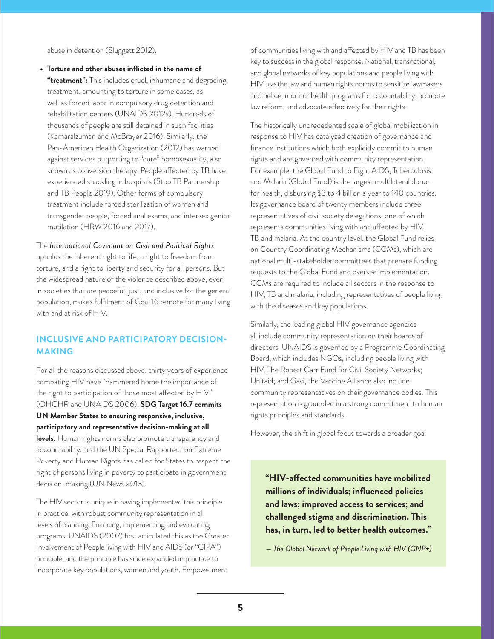abuse in detention (Sluggett 2012).

- **• Torture and other abuses inflicted in the name of**
- **"treatment":** This includes cruel, inhumane and degrading treatment, amounting to torture in some cases, as well as forced labor in compulsory drug detention and rehabilitation centers (UNAIDS 2012a). Hundreds of thousands of people are still detained in such facilities (Kamaralzuman and McBrayer 2016). Similarly, the Pan-American Health Organization (2012) has warned against services purporting to "cure" homosexuality, also known as conversion therapy. People affected by TB have experienced shackling in hospitals (Stop TB Partnership and TB People 2019). Other forms of compulsory treatment include forced sterilization of women and transgender people, forced anal exams, and intersex genital mutilation (HRW 2016 and 2017).

#### The *International Covenant on Civil and Political Rights*

upholds the inherent right to life, a right to freedom from torture, and a right to liberty and security for all persons. But the widespread nature of the violence described above, even in societies that are peaceful, just, and inclusive for the general population, makes fulfilment of Goal 16 remote for many living with and at risk of HIV.

#### **INCLUSIVE AND PARTICIPATORY DECISION-MAKING**

For all the reasons discussed above, thirty years of experience combating HIV have "hammered home the importance of the right to participation of those most affected by HIV" (OHCHR and UNAIDS 2006). **SDG Target 16.7 commits UN Member States to ensuring responsive, inclusive, participatory and representative decision-making at all levels.** Human rights norms also promote transparency and accountability, and the UN Special Rapporteur on Extreme Poverty and Human Rights has called for States to respect the right of persons living in poverty to participate in government decision-making (UN News 2013).

The HIV sector is unique in having implemented this principle in practice, with robust community representation in all levels of planning, financing, implementing and evaluating programs. UNAIDS (2007) first articulated this as the Greater Involvement of People living with HIV and AIDS (or "GIPA") principle, and the principle has since expanded in practice to incorporate key populations, women and youth. Empowerment

of communities living with and affected by HIV and TB has been key to success in the global response. National, transnational, and global networks of key populations and people living with HIV use the law and human rights norms to sensitize lawmakers and police, monitor health programs for accountability, promote law reform, and advocate effectively for their rights.

The historically unprecedented scale of global mobilization in response to HIV has catalyzed creation of governance and finance institutions which both explicitly commit to human rights and are governed with community representation. For example, the Global Fund to Fight AIDS, Tuberculosis and Malaria (Global Fund) is the largest multilateral donor for health, disbursing \$3 to 4 billion a year to 140 countries. Its governance board of twenty members include three representatives of civil society delegations, one of which represents communities living with and affected by HIV, TB and malaria. At the country level, the Global Fund relies on Country Coordinating Mechanisms (CCMs), which are national multi-stakeholder committees that prepare funding requests to the Global Fund and oversee implementation. CCMs are required to include all sectors in the response to HIV, TB and malaria, including representatives of people living with the diseases and key populations.

Similarly, the leading global HIV governance agencies all include community representation on their boards of directors. UNAIDS is governed by a Programme Coordinating Board, which includes NGOs, including people living with HIV. The Robert Carr Fund for Civil Society Networks; Unitaid; and Gavi, the Vaccine Alliance also include community representatives on their governance bodies. This representation is grounded in a strong commitment to human rights principles and standards.

However, the shift in global focus towards a broader goal

**"HIV-affected communities have mobilized millions of individuals; influenced policies and laws; improved access to services; and challenged stigma and discrimination. This has, in turn, led to better health outcomes."**

*— The Global Network of People Living with HIV (GNP+)*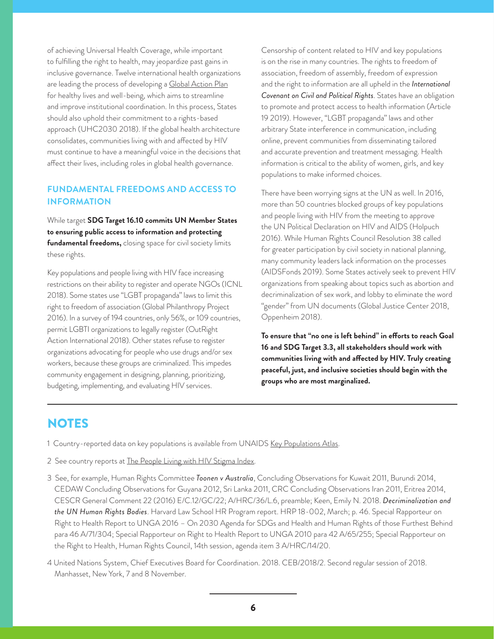of achieving Universal Health Coverage, while important to fulfilling the right to health, may jeopardize past gains in inclusive governance. Twelve international health organizations are leading the process of developing a [Global Action Plan](https://www.who.int/sdg/global-action-plan) for healthy lives and well-being, which aims to streamline and improve institutional coordination. In this process, States should also uphold their commitment to a rights-based approach (UHC2030 2018). If the global health architecture consolidates, communities living with and affected by HIV must continue to have a meaningful voice in the decisions that affect their lives, including roles in global health governance.

#### **FUNDAMENTAL FREEDOMS AND ACCESS TO INFORMATION**

While target **SDG Target 16.10 commits UN Member States to ensuring public access to information and protecting fundamental freedoms,** closing space for civil society limits these rights.

Key populations and people living with HIV face increasing restrictions on their ability to register and operate NGOs (ICNL 2018). Some states use "LGBT propaganda" laws to limit this right to freedom of association (Global Philanthropy Project 2016). In a survey of 194 countries, only 56%, or 109 countries, permit LGBTI organizations to legally register (OutRight Action International 2018). Other states refuse to register organizations advocating for people who use drugs and/or sex workers, because these groups are criminalized. This impedes community engagement in designing, planning, prioritizing, budgeting, implementing, and evaluating HIV services.

Censorship of content related to HIV and key populations is on the rise in many countries. The rights to freedom of association, freedom of assembly, freedom of expression and the right to information are all upheld in the *International Covenant on Civil and Political Rights*. States have an obligation to promote and protect access to health information (Article 19 2019). However, "LGBT propaganda" laws and other arbitrary State interference in communication, including online, prevent communities from disseminating tailored and accurate prevention and treatment messaging. Health information is critical to the ability of women, girls, and key populations to make informed choices.

There have been worrying signs at the UN as well. In 2016, more than 50 countries blocked groups of key populations and people living with HIV from the meeting to approve the UN Political Declaration on HIV and AIDS (Holpuch 2016). While Human Rights Council Resolution 38 called for greater participation by civil society in national planning, many community leaders lack information on the processes (AIDSFonds 2019). Some States actively seek to prevent HIV organizations from speaking about topics such as abortion and decriminalization of sex work, and lobby to eliminate the word "gender" from UN documents (Global Justice Center 2018, Oppenheim 2018).

**To ensure that "no one is left behind" in efforts to reach Goal 16 and SDG Target 3.3, all stakeholders should work with communities living with and affected by HIV. Truly creating peaceful, just, and inclusive societies should begin with the groups who are most marginalized.** 

## NOTES

- 1 Country-reported data on key populations is available from UNAIDS [Key Populations Atlas](http://www.aidsinfoonline.org/kpatlas/#/home).
- 2 See country reports at [The People Living with HIV Stigma Index.](http://www.stigmaindex.org/country-analysis)
- 3 See, for example, Human Rights Committee *Toonen v Australia*, Concluding Observations for Kuwait 2011, Burundi 2014, CEDAW Concluding Observations for Guyana 2012, Sri Lanka 2011, CRC Concluding Observations Iran 2011, Eritrea 2014, CESCR General Comment 22 (2016) E/C.12/GC/22; A/HRC/36/L.6, preamble; Keen, Emily N. 2018. *Decriminalization and the UN Human Rights Bodies*. Harvard Law School HR Program report. HRP 18-002, March; p. 46. Special Rapporteur on Right to Health Report to UNGA 2016 – On 2030 Agenda for SDGs and Health and Human Rights of those Furthest Behind para 46 A/71/304; Special Rapporteur on Right to Health Report to UNGA 2010 para 42 A/65/255; Special Rapporteur on the Right to Health, Human Rights Council, 14th session, agenda item 3 A/HRC/14/20.
- 4 United Nations System, Chief Executives Board for Coordination. 2018. CEB/2018/2. Second regular session of 2018. Manhasset, New York, 7 and 8 November.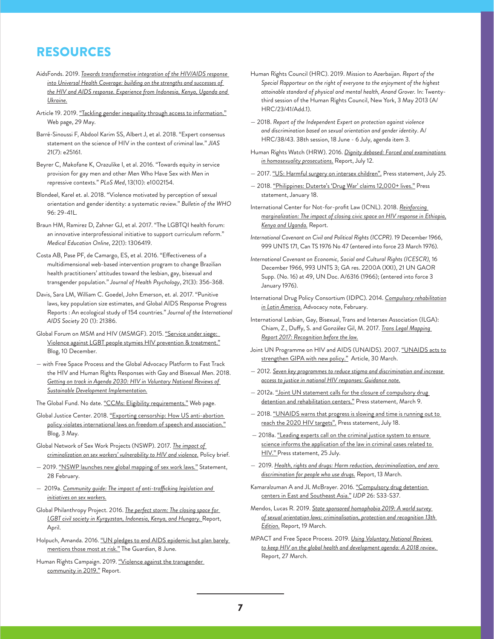# RESOURCES

- AidsFonds. 2019. *[Towards transformative integration of the HIV/AIDS response](http://www.globalfundadvocatesnetwork.org/resource/towards-transformative-integration-of-the-hiv-and-aids-response-into-universal-health-coverage-building-on-the-strength-and-successes-of-the-hiv-and-aids-response/)  [into Universal Health Coverage: building on the strengths and successes of](http://www.globalfundadvocatesnetwork.org/resource/towards-transformative-integration-of-the-hiv-and-aids-response-into-universal-health-coverage-building-on-the-strength-and-successes-of-the-hiv-and-aids-response/)  [the HIV and AIDS response. Experience from Indonesia, Kenya, Uganda and](http://www.globalfundadvocatesnetwork.org/resource/towards-transformative-integration-of-the-hiv-and-aids-response-into-universal-health-coverage-building-on-the-strength-and-successes-of-the-hiv-and-aids-response/)  [Ukraine.](http://www.globalfundadvocatesnetwork.org/resource/towards-transformative-integration-of-the-hiv-and-aids-response-into-universal-health-coverage-building-on-the-strength-and-successes-of-the-hiv-and-aids-response/)*
- Article 19. 2019. ["Tackling gender inequality through access to information."](https://www.article19.org/resources/tackling-gender-inequality-through-access-to-information/) Web page, 29 May.
- Barré-Sinoussi F, Abdool Karim SS, Albert J, et al. 2018. "Expert consensus statement on the science of HIV in the context of criminal law." *JIAS* 21(7): e25161.
- Beyrer C, Makofane K, Orazulike I, et al. 2016. "Towards equity in service provision for gay men and other Men Who Have Sex with Men in repressive contexts." *PLoS Med*, 13(10): e1002154.
- Blondeel, Karel et. al. 2018. "Violence motivated by perception of sexual orientation and gender identity: a systematic review." *Bulletin of the WHO* 96: 29-41L.
- Braun HM, Ramirez D, Zahner GJ, et al. 2017. "The LGBTQI health forum: an innovative interprofessional initiative to support curriculum reform." *Medical Education Online*, 22(1): 1306419.
- Costa AB, Pase PF, de Camargo, ES, et al. 2016. "Effectiveness of a multidimensional web-based intervention program to change Brazilian health practitioners' attitudes toward the lesbian, gay, bisexual and transgender population." *Journal of Health Psychology*, 21(3): 356-368.
- Davis, Sara LM, William C. Goedel, John Emerson, et. al. 2017. "Punitive laws, key population size estimates, and Global AIDS Response Progress Reports : An ecological study of 154 countries." *Journal of the International AIDS Society* 20 (1): 21386.
- Global Forum on MSM and HIV (MSMGF). 2015. "Service under siege: [Violence against LGBT people stymies HIV prevention & treatment."](https://msmgf.org/high-levels-of-violence-against-lgbt-people-stymie-hiv-prevention-and-treatment-worldwide/) Blog, 10 December.
- with Free Space Process and the Global Advocacy Platform to Fast Track the HIV and Human Rights Responses with Gay and Bisexual Men. 2018. *[Getting on track in Agenda 2030: HIV in Voluntary National Reviews of](https://mpactglobal.org/wp-content/uploads/2018/03/Getting-on-Track-in-Agenda-2030.pdf)  [Sustainable Development Implementation.](https://mpactglobal.org/wp-content/uploads/2018/03/Getting-on-Track-in-Agenda-2030.pdf)*
- The Global Fund. No date. ["CCMs: Eligibility requirements."](https://www.theglobalfund.org/en/country-coordinating-mechanism/eligibility/) Web page.
- Global Justice Center. 2018. ["Exporting censorship: How US anti-abortion](http://www.globaljusticecenter.net/blog/19-publications/911-exporting-censorship-how-u-s-anti-abortion-policy-violates-international-laws-on-freedom-of-speech-and-association)  [policy violates international laws on freedom of speech and association."](http://www.globaljusticecenter.net/blog/19-publications/911-exporting-censorship-how-u-s-anti-abortion-policy-violates-international-laws-on-freedom-of-speech-and-association) Blog, 3 May.
- Global Network of Sex Work Projects (NSWP). 2017. *[The impact of](https://www.nswp.org/resource/the-impact-criminalisation-sex-workers-vulnerability-hiv-and-violence)  [criminalization on sex workers' vulnerability to HIV and violence.](https://www.nswp.org/resource/the-impact-criminalisation-sex-workers-vulnerability-hiv-and-violence)* Policy brief.
- 2019. ["NSWP launches new global mapping of sex work laws."](https://www.nswp.org/news/nswp-launches-new-global-mapping-sex-work-laws) Statement, 28 February.
- 2019a. *[Community guide: The impact of anti-trafficking legislation and](https://www.nswp.org/sites/nswp.org/files/cg_impact_of_anti-trafficking_laws_nswp_-_2019.pdf)  [initiatives on sex workers.](https://www.nswp.org/sites/nswp.org/files/cg_impact_of_anti-trafficking_laws_nswp_-_2019.pdf)*
- Global Philanthropy Project. 2016. *[The perfect storm: The closing space for](https://globalphilanthropyproject.org/2016/04/22/perfectstormreport/)  [LGBT civil society in Kyrgyzstan, Indonesia, Kenya, and Hungary.](https://globalphilanthropyproject.org/2016/04/22/perfectstormreport/)* Report, April.
- Holpuch, Amanda. 2016. "UN pledges to end AIDS epidemic but plan barely [mentions those most at risk."](https://www.theguardian.com/society/2016/jun/08/un-hiv-aids-summit-gay-transgender-groups-excluded) The Guardian, 8 June.
- Human Rights Campaign. 2019. "Violence against the transgender [community in 2019."](https://www.hrc.org/resources/violence-against-the-transgender-community-in-2019) Report.
- Human Rights Council (HRC). 2019. Mission to Azerbaijan. *Report of the Special Rapporteur on the right of everyone to the enjoyment of the highest attainable standard of physical and mental health, Anand Grover.* In: Twentythird session of the Human Rights Council, New York, 3 May 2013 (A/ HRC/23/41/Add.1).
- 2018. *Report of the Independent Expert on protection against violence and discrimination based on sexual orientation and gender identity*. A/ HRC/38/43. 38th session, 18 June - 6 July, agenda item 3.
- Human Rights Watch (HRW). 2016. *[Dignity debased: Forced anal examinations](https://www.hrw.org/report/2016/07/12/dignity-debased/forced-anal-examinations-homosexuality-prosecutions)  [in homosexuality prosecutions.](https://www.hrw.org/report/2016/07/12/dignity-debased/forced-anal-examinations-homosexuality-prosecutions)* Report, July 12.
- 2017. ["US: Harmful surgery on intersex children"](https://www.hrw.org/news/2017/07/25/us-harmful-surgery-intersex-children). Press statement, July 25.
- 2018. <u>"Philippines: Duterte's 'Drug War' claims 12,000+ lives."</u> Press statement, January 18.
- International Center for Not-for-profit Law (ICNL). 2018. *[Reinforcing](http://www.icnl.org/programs/africa/ICNL-Reinforcing-Marginalization.pdf)  [marginalization: The impact of closing civic space on HIV response in Ethiopia,](http://www.icnl.org/programs/africa/ICNL-Reinforcing-Marginalization.pdf)  [Kenya and Uganda.](http://www.icnl.org/programs/africa/ICNL-Reinforcing-Marginalization.pdf)* Report.
- *International Covenant on Civil and Political Rights (ICCPR).* 19 December 1966, 999 UNTS 171, Can TS 1976 No 47 (entered into force 23 March 1976).
- *International Covenant on Economic, Social and Cultural Rights (ICESCR),* 16 December 1966, 993 UNTS 3; GA res. 2200A (XXI), 21 UN GAOR Supp. (No. 16) at 49, UN Doc. A/6316 (1966); (entered into force 3 January 1976).
- International Drug Policy Consortium (IDPC). 2014. *[Compulsory rehabilitation](https://idhdp.com/media/1236/idpc-advocacy-note_compulsory-rehabilitation-latin-america_english.pdf)  [in Latin America.](https://idhdp.com/media/1236/idpc-advocacy-note_compulsory-rehabilitation-latin-america_english.pdf)* Advocacy note, February.
- International Lesbian, Gay, Bisexual, Trans and Intersex Association (ILGA): Chiam, Z., Duffy, S. and González Gil, M. 2017. *[Trans Legal Mapping](https://ilga.org/trans-legal-mapping-report)  [Report 2017: Recognition before the law.](https://ilga.org/trans-legal-mapping-report)*
- Joint UN Programme on HIV and AIDS (UNAIDS). 2007. "UNAIDS acts to [strengthen GIPA with new policy."](https://www.unaids.org/en/resources/presscentre/featurestories/2007/march/20070330gipapolicybrief) Article, 30 March.
- 2012. *[Seven key programmes to reduce stigma and discrimination and increase](https://www.unaids.org/sites/default/files/media_asset/Key_Human_Rights_Programmes_en_May2012_0.pdf)  [access to justice in national HIV responses: Guidance note.](https://www.unaids.org/sites/default/files/media_asset/Key_Human_Rights_Programmes_en_May2012_0.pdf)*
- 2012a. ["Joint UN statement calls for the closure of compulsory drug](http://www.unaids.org/en/resources/presscentre/featurestories/2012/march/20120308adetentioncenters)  [detention and rehabilitation centers."](http://www.unaids.org/en/resources/presscentre/featurestories/2012/march/20120308adetentioncenters) Press statement, March 9.
- 2018. ["UNAIDS warns that progress is slowing and time is running out to](http://www.unaids.org/en/20180718_GR2018)  [reach the 2020 HIV targets"](http://www.unaids.org/en/20180718_GR2018). Press statement, July 18.
- 2018a. ["Leading experts call on the criminal justice system to ensure](https://www.unaids.org/en/keywords/criminalization-hiv-transmission)  science informs the application of the law in criminal cases related to [HIV." P](https://www.unaids.org/en/keywords/criminalization-hiv-transmission)ress statement, 25 July.
- 2019. *[Health, rights and drugs: Harm reduction, decriminalization, and zero](https://www.unaids.org/en/resources/documents/2019/JC2954_UNAIDS_drugs_report_2019)  [discrimination for people who use drugs.](https://www.unaids.org/en/resources/documents/2019/JC2954_UNAIDS_drugs_report_2019)* Report, 13 March.
- Kamaralzuman A and JL McBrayer. 2016. ["Compulsory drug detention](http://fileserver.idpc.net/library/compulsory-drug-detention-centres-southeast-asia-ijdp.pdf)  [centers in East and Southeast Asia."](http://fileserver.idpc.net/library/compulsory-drug-detention-centres-southeast-asia-ijdp.pdf) *IJDP* 26: S33-S37.
- Mendos, Lucas R. 2019. *[State sponsored homophobia 2019: A world survey](https://ilga.org/ilga-launches-state-sponsored-homophobia-2019)  [of sexual orientation laws: criminalisation, protection and recognition 13th](https://ilga.org/ilga-launches-state-sponsored-homophobia-2019)  [Edition.](https://ilga.org/ilga-launches-state-sponsored-homophobia-2019)* Report, 19 March.
- MPACT and Free Space Process. 2019. *[Using Voluntary National Reviews](https://mpactglobal.org/using-voluntary-national-reviews-to-keep-hiv-on-the-global-health-and-development-agenda/)  [to keep HIV on the global health and development agenda: A 2018 review.](https://mpactglobal.org/using-voluntary-national-reviews-to-keep-hiv-on-the-global-health-and-development-agenda/)* Report, 27 March.